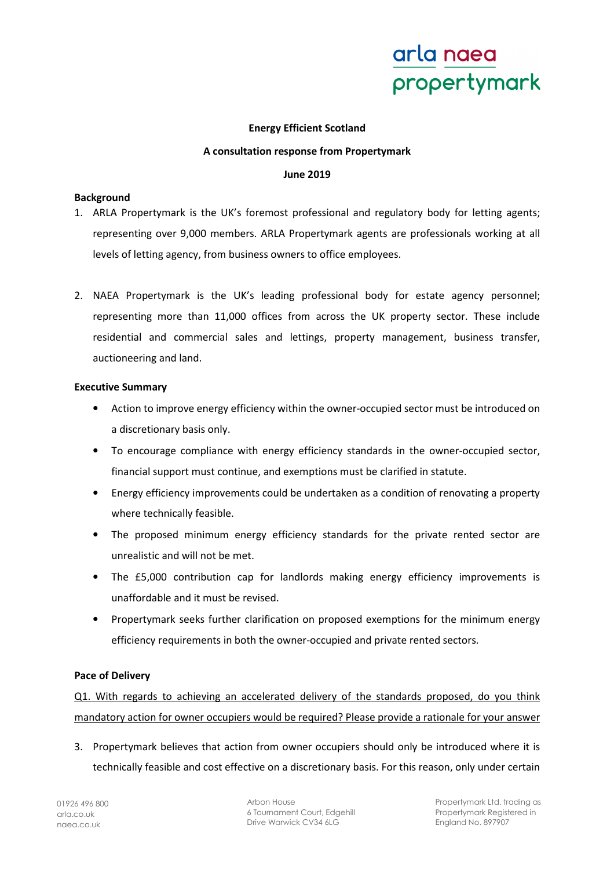## **Energy Efficient Scotland**

#### **A consultation response from Propertymark**

#### **June 2019**

### **Background**

- 1. ARLA Propertymark is the UK's foremost professional and regulatory body for letting agents; representing over 9,000 members. ARLA Propertymark agents are professionals working at all levels of letting agency, from business owners to office employees.
- 2. NAEA Propertymark is the UK's leading professional body for estate agency personnel; representing more than 11,000 offices from across the UK property sector. These include residential and commercial sales and lettings, property management, business transfer, auctioneering and land.

#### **Executive Summary**

- Action to improve energy efficiency within the owner-occupied sector must be introduced on a discretionary basis only.
- To encourage compliance with energy efficiency standards in the owner-occupied sector, financial support must continue, and exemptions must be clarified in statute.
- Energy efficiency improvements could be undertaken as a condition of renovating a property where technically feasible.
- The proposed minimum energy efficiency standards for the private rented sector are unrealistic and will not be met.
- The £5,000 contribution cap for landlords making energy efficiency improvements is unaffordable and it must be revised.
- Propertymark seeks further clarification on proposed exemptions for the minimum energy efficiency requirements in both the owner-occupied and private rented sectors.

### **Pace of Delivery**

Q1. With regards to achieving an accelerated delivery of the standards proposed, do you think mandatory action for owner occupiers would be required? Please provide a rationale for your answer

3. Propertymark believes that action from owner occupiers should only be introduced where it is technically feasible and cost effective on a discretionary basis. For this reason, only under certain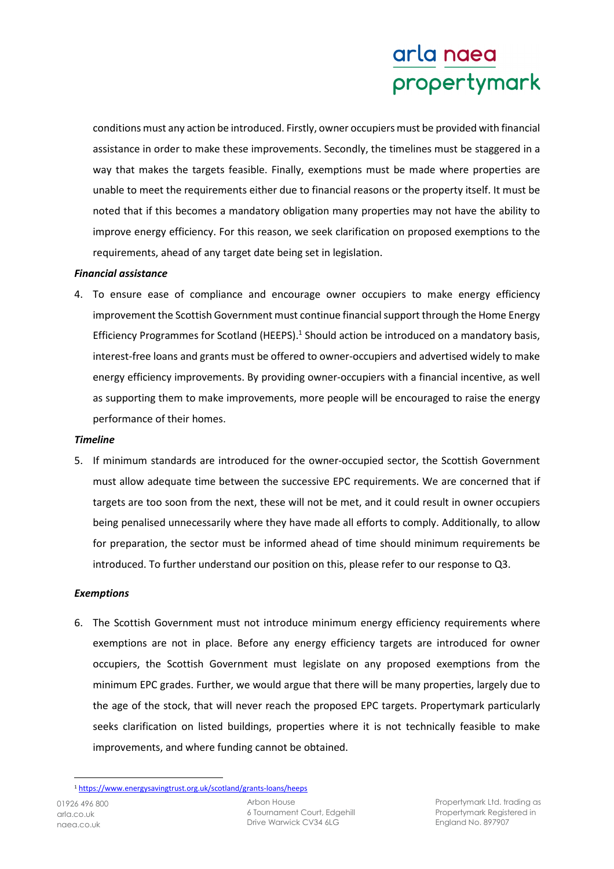conditions must any action be introduced. Firstly, owner occupiers must be provided with financial assistance in order to make these improvements. Secondly, the timelines must be staggered in a way that makes the targets feasible. Finally, exemptions must be made where properties are unable to meet the requirements either due to financial reasons or the property itself. It must be noted that if this becomes a mandatory obligation many properties may not have the ability to improve energy efficiency. For this reason, we seek clarification on proposed exemptions to the requirements, ahead of any target date being set in legislation.

## *Financial assistance*

4. To ensure ease of compliance and encourage owner occupiers to make energy efficiency improvement the Scottish Government must continue financial support through the Home Energy Efficiency Programmes for Scotland (HEEPS).<sup>1</sup> Should action be introduced on a mandatory basis, interest-free loans and grants must be offered to owner-occupiers and advertised widely to make energy efficiency improvements. By providing owner-occupiers with a financial incentive, as well as supporting them to make improvements, more people will be encouraged to raise the energy performance of their homes.

### *Timeline*

5. If minimum standards are introduced for the owner-occupied sector, the Scottish Government must allow adequate time between the successive EPC requirements. We are concerned that if targets are too soon from the next, these will not be met, and it could result in owner occupiers being penalised unnecessarily where they have made all efforts to comply. Additionally, to allow for preparation, the sector must be informed ahead of time should minimum requirements be introduced. To further understand our position on this, please refer to our response to Q3.

### *Exemptions*

6. The Scottish Government must not introduce minimum energy efficiency requirements where exemptions are not in place. Before any energy efficiency targets are introduced for owner occupiers, the Scottish Government must legislate on any proposed exemptions from the minimum EPC grades. Further, we would argue that there will be many properties, largely due to the age of the stock, that will never reach the proposed EPC targets. Propertymark particularly seeks clarification on listed buildings, properties where it is not technically feasible to make improvements, and where funding cannot be obtained.

 $\overline{a}$ 

<sup>1</sup> https://www.energysavingtrust.org.uk/scotland/grants-loans/heeps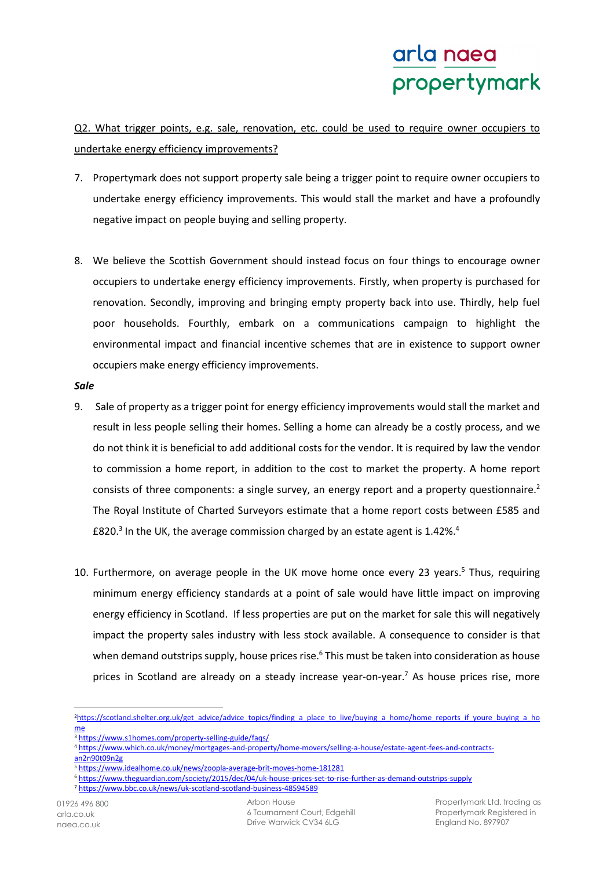Q2. What trigger points, e.g. sale, renovation, etc. could be used to require owner occupiers to undertake energy efficiency improvements?

- 7. Propertymark does not support property sale being a trigger point to require owner occupiers to undertake energy efficiency improvements. This would stall the market and have a profoundly negative impact on people buying and selling property.
- 8. We believe the Scottish Government should instead focus on four things to encourage owner occupiers to undertake energy efficiency improvements. Firstly, when property is purchased for renovation. Secondly, improving and bringing empty property back into use. Thirdly, help fuel poor households. Fourthly, embark on a communications campaign to highlight the environmental impact and financial incentive schemes that are in existence to support owner occupiers make energy efficiency improvements.

#### *Sale*

- 9. Sale of property as a trigger point for energy efficiency improvements would stall the market and result in less people selling their homes. Selling a home can already be a costly process, and we do not think it is beneficial to add additional costs for the vendor. It is required by law the vendor to commission a home report, in addition to the cost to market the property. A home report consists of three components: a single survey, an energy report and a property questionnaire.<sup>2</sup> The Royal Institute of Charted Surveyors estimate that a home report costs between £585 and £820.<sup>3</sup> In the UK, the average commission charged by an estate agent is 1.42%.<sup>4</sup>
- 10. Furthermore, on average people in the UK move home once every 23 years.<sup>5</sup> Thus, requiring minimum energy efficiency standards at a point of sale would have little impact on improving energy efficiency in Scotland. If less properties are put on the market for sale this will negatively impact the property sales industry with less stock available. A consequence to consider is that when demand outstrips supply, house prices rise.<sup>6</sup> This must be taken into consideration as house prices in Scotland are already on a steady increase year-on-year.<sup>7</sup> As house prices rise, more

<sup>5</sup> https://www.idealhome.co.uk/news/zoopla-average-brit-moves-home-181281

 $\overline{\phantom{0}}$ 

<sup>2</sup>https://scotland.shelter.org.uk/get\_advice/advice\_topics/finding\_a\_place\_to\_live/buying\_a\_home/home\_reports\_if\_youre\_buying\_a\_ho me

<sup>3</sup> https://www.s1homes.com/property-selling-guide/faqs/

<sup>4</sup> https://www.which.co.uk/money/mortgages-and-property/home-movers/selling-a-house/estate-agent-fees-and-contractsan2n90t09n2g

<sup>6</sup> https://www.theguardian.com/society/2015/dec/04/uk-house-prices-set-to-rise-further-as-demand-outstrips-supply

<sup>7</sup> https://www.bbc.co.uk/news/uk-scotland-scotland-business-48594589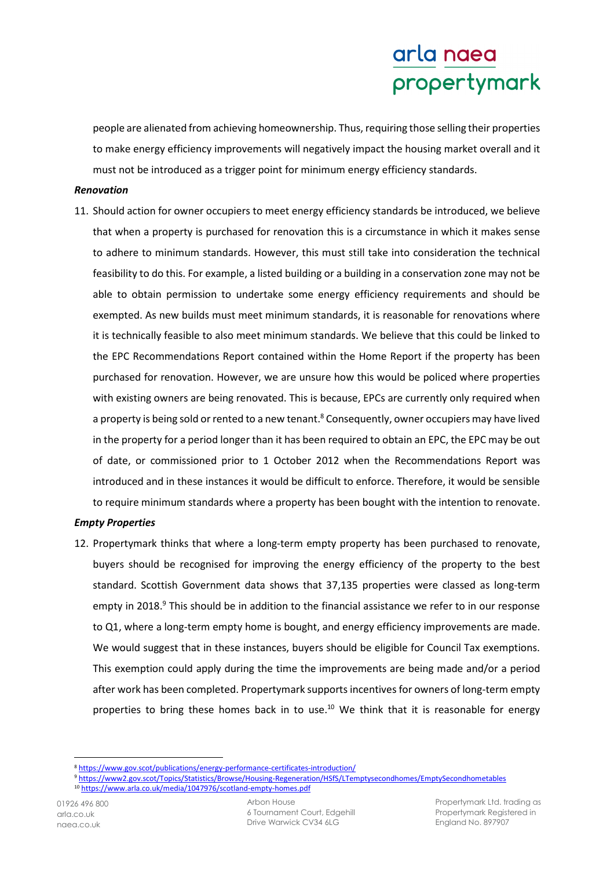people are alienated from achieving homeownership. Thus, requiring those selling their properties to make energy efficiency improvements will negatively impact the housing market overall and it must not be introduced as a trigger point for minimum energy efficiency standards.

### *Renovation*

11. Should action for owner occupiers to meet energy efficiency standards be introduced, we believe that when a property is purchased for renovation this is a circumstance in which it makes sense to adhere to minimum standards. However, this must still take into consideration the technical feasibility to do this. For example, a listed building or a building in a conservation zone may not be able to obtain permission to undertake some energy efficiency requirements and should be exempted. As new builds must meet minimum standards, it is reasonable for renovations where it is technically feasible to also meet minimum standards. We believe that this could be linked to the EPC Recommendations Report contained within the Home Report if the property has been purchased for renovation. However, we are unsure how this would be policed where properties with existing owners are being renovated. This is because, EPCs are currently only required when a property is being sold or rented to a new tenant.<sup>8</sup> Consequently, owner occupiers may have lived in the property for a period longer than it has been required to obtain an EPC, the EPC may be out of date, or commissioned prior to 1 October 2012 when the Recommendations Report was introduced and in these instances it would be difficult to enforce. Therefore, it would be sensible to require minimum standards where a property has been bought with the intention to renovate.

# *Empty Properties*

12. Propertymark thinks that where a long-term empty property has been purchased to renovate, buyers should be recognised for improving the energy efficiency of the property to the best standard. Scottish Government data shows that 37,135 properties were classed as long-term empty in 2018.<sup>9</sup> This should be in addition to the financial assistance we refer to in our response to Q1, where a long-term empty home is bought, and energy efficiency improvements are made. We would suggest that in these instances, buyers should be eligible for Council Tax exemptions. This exemption could apply during the time the improvements are being made and/or a period after work has been completed. Propertymark supports incentives for owners of long-term empty properties to bring these homes back in to use.<sup>10</sup> We think that it is reasonable for energy

l

<sup>8</sup> https://www.gov.scot/publications/energy-performance-certificates-introduction/

<sup>9</sup> https://www2.gov.scot/Topics/Statistics/Browse/Housing-Regeneration/HSfS/LTemptysecondhomes/EmptySecondhometables

<sup>10</sup> https://www.arla.co.uk/media/1047976/scotland-empty-homes.pdf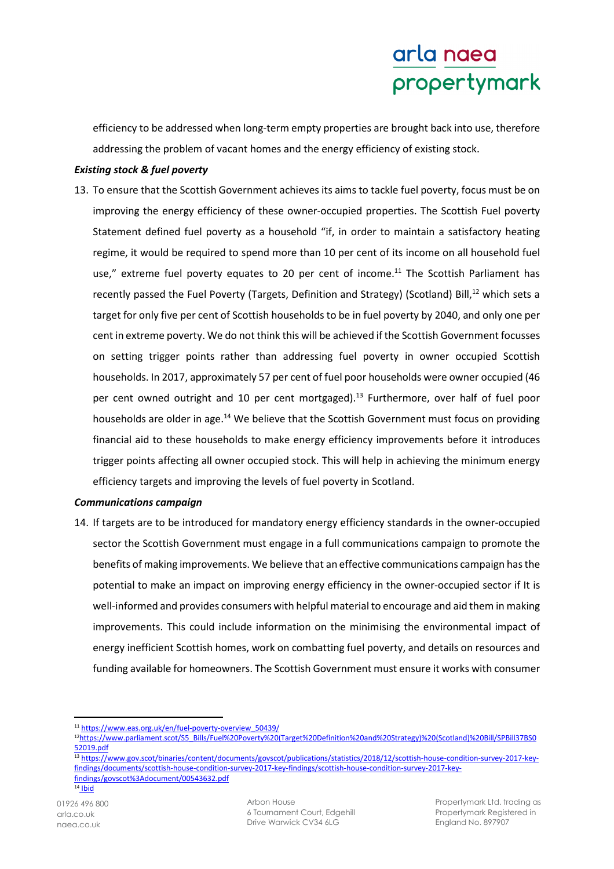efficiency to be addressed when long-term empty properties are brought back into use, therefore addressing the problem of vacant homes and the energy efficiency of existing stock.

## *Existing stock & fuel poverty*

13. To ensure that the Scottish Government achieves its aims to tackle fuel poverty, focus must be on improving the energy efficiency of these owner-occupied properties. The Scottish Fuel poverty Statement defined fuel poverty as a household "if, in order to maintain a satisfactory heating regime, it would be required to spend more than 10 per cent of its income on all household fuel use," extreme fuel poverty equates to 20 per cent of income.<sup>11</sup> The Scottish Parliament has recently passed the Fuel Poverty (Targets, Definition and Strategy) (Scotland) Bill,<sup>12</sup> which sets a target for only five per cent of Scottish households to be in fuel poverty by 2040, and only one per cent in extreme poverty. We do not think this will be achieved if the Scottish Government focusses on setting trigger points rather than addressing fuel poverty in owner occupied Scottish households. In 2017, approximately 57 per cent of fuel poor households were owner occupied (46 per cent owned outright and 10 per cent mortgaged).<sup>13</sup> Furthermore, over half of fuel poor households are older in age.<sup>14</sup> We believe that the Scottish Government must focus on providing financial aid to these households to make energy efficiency improvements before it introduces trigger points affecting all owner occupied stock. This will help in achieving the minimum energy efficiency targets and improving the levels of fuel poverty in Scotland.

### *Communications campaign*

14. If targets are to be introduced for mandatory energy efficiency standards in the owner-occupied sector the Scottish Government must engage in a full communications campaign to promote the benefits of making improvements. We believe that an effective communications campaign has the potential to make an impact on improving energy efficiency in the owner-occupied sector if It is well-informed and provides consumers with helpful material to encourage and aid them in making improvements. This could include information on the minimising the environmental impact of energy inefficient Scottish homes, work on combatting fuel poverty, and details on resources and funding available for homeowners. The Scottish Government must ensure it works with consumer

 $\overline{\phantom{0}}$ 

<sup>11</sup> https://www.eas.org.uk/en/fuel-poverty-overview\_50439/

<sup>12</sup>https://www.parliament.scot/S5\_Bills/Fuel%20Poverty%20(Target%20Definition%20and%20Strategy)%20(Scotland)%20Bill/SPBill37BS0 52019.pdf

<sup>13</sup> https://www.gov.scot/binaries/content/documents/govscot/publications/statistics/2018/12/scottish-house-condition-survey-2017-keyfindings/documents/scottish-house-condition-survey-2017-key-findings/scottish-house-condition-survey-2017-keyfindings/govscot%3Adocument/00543632.pdf  $14$  Ibid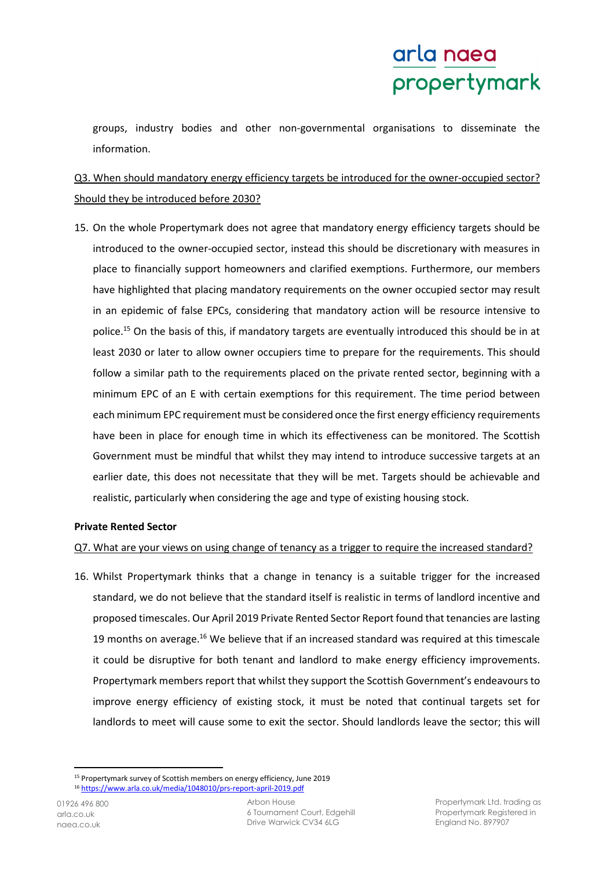groups, industry bodies and other non-governmental organisations to disseminate the information.

# Q3. When should mandatory energy efficiency targets be introduced for the owner-occupied sector? Should they be introduced before 2030?

15. On the whole Propertymark does not agree that mandatory energy efficiency targets should be introduced to the owner-occupied sector, instead this should be discretionary with measures in place to financially support homeowners and clarified exemptions. Furthermore, our members have highlighted that placing mandatory requirements on the owner occupied sector may result in an epidemic of false EPCs, considering that mandatory action will be resource intensive to police.<sup>15</sup> On the basis of this, if mandatory targets are eventually introduced this should be in at least 2030 or later to allow owner occupiers time to prepare for the requirements. This should follow a similar path to the requirements placed on the private rented sector, beginning with a minimum EPC of an E with certain exemptions for this requirement. The time period between each minimum EPC requirement must be considered once the first energy efficiency requirements have been in place for enough time in which its effectiveness can be monitored. The Scottish Government must be mindful that whilst they may intend to introduce successive targets at an earlier date, this does not necessitate that they will be met. Targets should be achievable and realistic, particularly when considering the age and type of existing housing stock.

### **Private Rented Sector**

# Q7. What are your views on using change of tenancy as a trigger to require the increased standard?

16. Whilst Propertymark thinks that a change in tenancy is a suitable trigger for the increased standard, we do not believe that the standard itself is realistic in terms of landlord incentive and proposed timescales. Our April 2019 Private Rented Sector Report found that tenancies are lasting 19 months on average.<sup>16</sup> We believe that if an increased standard was required at this timescale it could be disruptive for both tenant and landlord to make energy efficiency improvements. Propertymark members report that whilst they support the Scottish Government's endeavours to improve energy efficiency of existing stock, it must be noted that continual targets set for landlords to meet will cause some to exit the sector. Should landlords leave the sector; this will

l <sup>15</sup> Propertymark survey of Scottish members on energy efficiency, June 2019

<sup>16</sup> https://www.arla.co.uk/media/1048010/prs-report-april-2019.pdf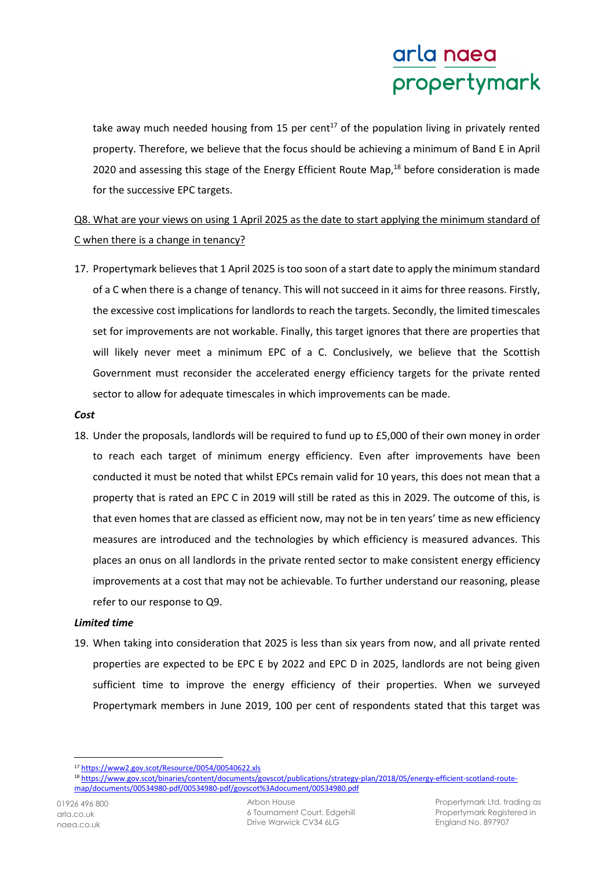take away much needed housing from 15 per cent $17$  of the population living in privately rented property. Therefore, we believe that the focus should be achieving a minimum of Band E in April 2020 and assessing this stage of the Energy Efficient Route Map,<sup>18</sup> before consideration is made for the successive EPC targets.

# Q8. What are your views on using 1 April 2025 as the date to start applying the minimum standard of C when there is a change in tenancy?

17. Propertymark believes that 1 April 2025 is too soon of a start date to apply the minimum standard of a C when there is a change of tenancy. This will not succeed in it aims for three reasons. Firstly, the excessive cost implications for landlords to reach the targets. Secondly, the limited timescales set for improvements are not workable. Finally, this target ignores that there are properties that will likely never meet a minimum EPC of a C. Conclusively, we believe that the Scottish Government must reconsider the accelerated energy efficiency targets for the private rented sector to allow for adequate timescales in which improvements can be made.

## *Cost*

18. Under the proposals, landlords will be required to fund up to £5,000 of their own money in order to reach each target of minimum energy efficiency. Even after improvements have been conducted it must be noted that whilst EPCs remain valid for 10 years, this does not mean that a property that is rated an EPC C in 2019 will still be rated as this in 2029. The outcome of this, is that even homes that are classed as efficient now, may not be in ten years' time as new efficiency measures are introduced and the technologies by which efficiency is measured advances. This places an onus on all landlords in the private rented sector to make consistent energy efficiency improvements at a cost that may not be achievable. To further understand our reasoning, please refer to our response to Q9.

# *Limited time*

19. When taking into consideration that 2025 is less than six years from now, and all private rented properties are expected to be EPC E by 2022 and EPC D in 2025, landlords are not being given sufficient time to improve the energy efficiency of their properties. When we surveyed Propertymark members in June 2019, 100 per cent of respondents stated that this target was

l <sup>17</sup> https://www2.gov.scot/Resource/0054/00540622.xls

<sup>18</sup> https://www.gov.scot/binaries/content/documents/govscot/publications/strategy-plan/2018/05/energy-efficient-scotland-routemap/documents/00534980-pdf/00534980-pdf/govscot%3Adocument/00534980.pdf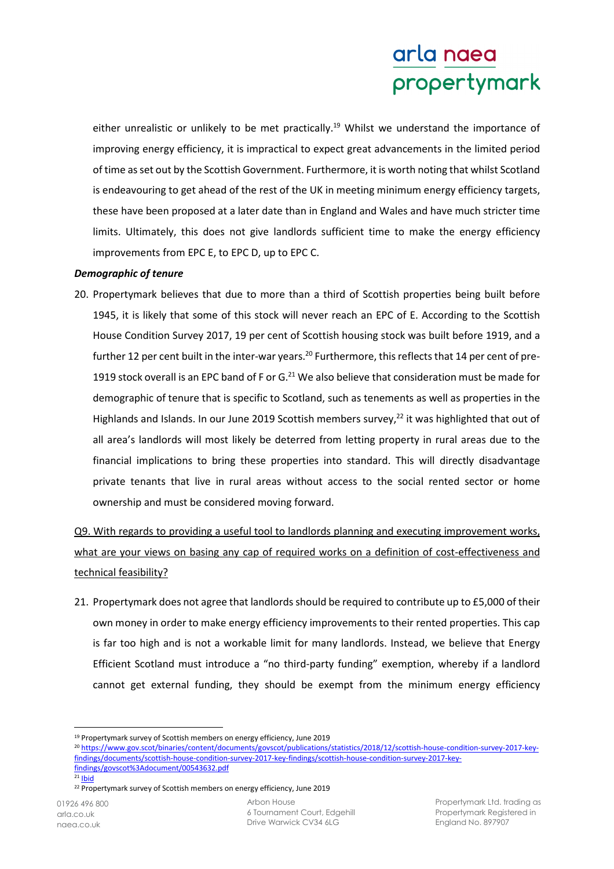either unrealistic or unlikely to be met practically.<sup>19</sup> Whilst we understand the importance of improving energy efficiency, it is impractical to expect great advancements in the limited period of time as set out by the Scottish Government. Furthermore, it is worth noting that whilst Scotland is endeavouring to get ahead of the rest of the UK in meeting minimum energy efficiency targets, these have been proposed at a later date than in England and Wales and have much stricter time limits. Ultimately, this does not give landlords sufficient time to make the energy efficiency improvements from EPC E, to EPC D, up to EPC C.

### *Demographic of tenure*

20. Propertymark believes that due to more than a third of Scottish properties being built before 1945, it is likely that some of this stock will never reach an EPC of E. According to the Scottish House Condition Survey 2017, 19 per cent of Scottish housing stock was built before 1919, and a further 12 per cent built in the inter-war years.<sup>20</sup> Furthermore, this reflects that 14 per cent of pre-1919 stock overall is an EPC band of F or  $G<sup>21</sup>$  We also believe that consideration must be made for demographic of tenure that is specific to Scotland, such as tenements as well as properties in the Highlands and Islands. In our June 2019 Scottish members survey,<sup>22</sup> it was highlighted that out of all area's landlords will most likely be deterred from letting property in rural areas due to the financial implications to bring these properties into standard. This will directly disadvantage private tenants that live in rural areas without access to the social rented sector or home ownership and must be considered moving forward.

Q9. With regards to providing a useful tool to landlords planning and executing improvement works, what are your views on basing any cap of required works on a definition of cost-effectiveness and technical feasibility?

21. Propertymark does not agree that landlords should be required to contribute up to £5,000 of their own money in order to make energy efficiency improvements to their rented properties. This cap is far too high and is not a workable limit for many landlords. Instead, we believe that Energy Efficient Scotland must introduce a "no third-party funding" exemption, whereby if a landlord cannot get external funding, they should be exempt from the minimum energy efficiency

l

Arbon House 6 Tournament Court, Edgehill Drive Warwick CV34 6LG

<sup>19</sup> Propertymark survey of Scottish members on energy efficiency, June 2019

<sup>20</sup> https://www.gov.scot/binaries/content/documents/govscot/publications/statistics/2018/12/scottish-house-condition-survey-2017-keyfindings/documents/scottish-house-condition-survey-2017-key-findings/scottish-house-condition-survey-2017-keyfindings/govscot%3Adocument/00543632.pdf

 $21$  Ibid

<sup>&</sup>lt;sup>22</sup> Propertymark survey of Scottish members on energy efficiency, June 2019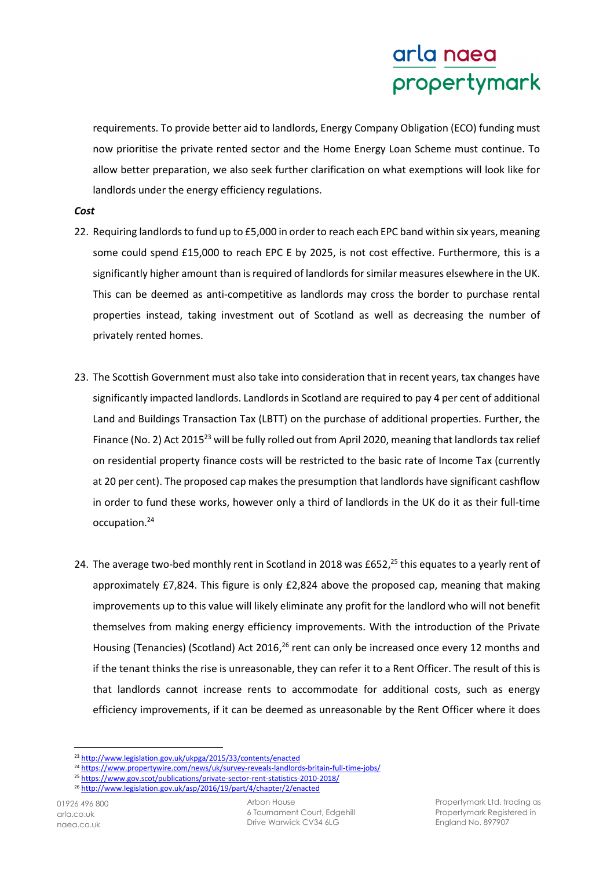requirements. To provide better aid to landlords, Energy Company Obligation (ECO) funding must now prioritise the private rented sector and the Home Energy Loan Scheme must continue. To allow better preparation, we also seek further clarification on what exemptions will look like for landlords under the energy efficiency regulations.

### *Cost*

- 22. Requiring landlords to fund up to £5,000 in order to reach each EPC band within six years, meaning some could spend £15,000 to reach EPC E by 2025, is not cost effective. Furthermore, this is a significantly higher amount than is required of landlords for similar measures elsewhere in the UK. This can be deemed as anti-competitive as landlords may cross the border to purchase rental properties instead, taking investment out of Scotland as well as decreasing the number of privately rented homes.
- 23. The Scottish Government must also take into consideration that in recent years, tax changes have significantly impacted landlords. Landlords in Scotland are required to pay 4 per cent of additional Land and Buildings Transaction Tax (LBTT) on the purchase of additional properties. Further, the Finance (No. 2) Act 2015<sup>23</sup> will be fully rolled out from April 2020, meaning that landlords tax relief on residential property finance costs will be restricted to the basic rate of Income Tax (currently at 20 per cent). The proposed cap makes the presumption that landlords have significant cashflow in order to fund these works, however only a third of landlords in the UK do it as their full-time occupation.<sup>24</sup>
- 24. The average two-bed monthly rent in Scotland in 2018 was £652.<sup>25</sup> this equates to a yearly rent of approximately £7,824. This figure is only £2,824 above the proposed cap, meaning that making improvements up to this value will likely eliminate any profit for the landlord who will not benefit themselves from making energy efficiency improvements. With the introduction of the Private Housing (Tenancies) (Scotland) Act 2016,<sup>26</sup> rent can only be increased once every 12 months and if the tenant thinks the rise is unreasonable, they can refer it to a Rent Officer. The result of this is that landlords cannot increase rents to accommodate for additional costs, such as energy efficiency improvements, if it can be deemed as unreasonable by the Rent Officer where it does

l

<sup>23</sup> http://www.legislation.gov.uk/ukpga/2015/33/contents/enacted

<sup>&</sup>lt;sup>24</sup> https://www.propertywire.com/news/uk/survey-reveals-landlords-britain-full-time-jobs/

<sup>25</sup> https://www.gov.scot/publications/private-sector-rent-statistics-2010-2018/

<sup>26</sup> http://www.legislation.gov.uk/asp/2016/19/part/4/chapter/2/enacted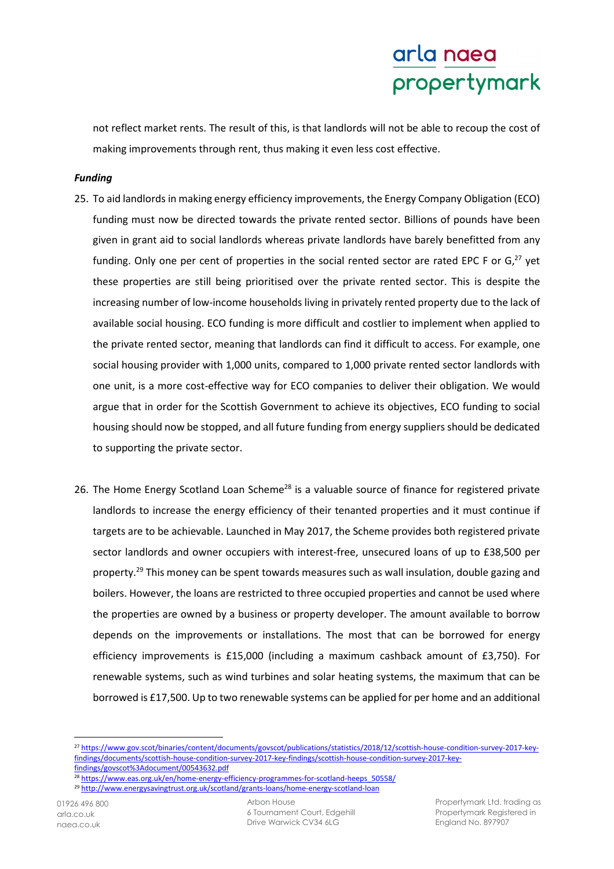not reflect market rents. The result of this, is that landlords will not be able to recoup the cost of making improvements through rent, thus making it even less cost effective.

### *Funding*

- 25. To aid landlords in making energy efficiency improvements, the Energy Company Obligation (ECO) funding must now be directed towards the private rented sector. Billions of pounds have been given in grant aid to social landlords whereas private landlords have barely benefitted from any funding. Only one per cent of properties in the social rented sector are rated EPC F or  $G<sub>1</sub><sup>27</sup>$  yet these properties are still being prioritised over the private rented sector. This is despite the increasing number of low-income households living in privately rented property due to the lack of available social housing. ECO funding is more difficult and costlier to implement when applied to the private rented sector, meaning that landlords can find it difficult to access. For example, one social housing provider with 1,000 units, compared to 1,000 private rented sector landlords with one unit, is a more cost-effective way for ECO companies to deliver their obligation. We would argue that in order for the Scottish Government to achieve its objectives, ECO funding to social housing should now be stopped, and all future funding from energy suppliers should be dedicated to supporting the private sector.
- 26. The Home Energy Scotland Loan Scheme<sup>28</sup> is a valuable source of finance for registered private landlords to increase the energy efficiency of their tenanted properties and it must continue if targets are to be achievable. Launched in May 2017, the Scheme provides both registered private sector landlords and owner occupiers with interest-free, unsecured loans of up to £38,500 per property.<sup>29</sup> This money can be spent towards measures such as wall insulation, double gazing and boilers. However, the loans are restricted to three occupied properties and cannot be used where the properties are owned by a business or property developer. The amount available to borrow depends on the improvements or installations. The most that can be borrowed for energy efficiency improvements is £15,000 (including a maximum cashback amount of £3,750). For renewable systems, such as wind turbines and solar heating systems, the maximum that can be borrowed is £17,500. Up to two renewable systems can be applied for per home and an additional

l

<sup>27</sup> https://www.gov.scot/binaries/content/documents/govscot/publications/statistics/2018/12/scottish-house-condition-survey-2017-keyfindings/documents/scottish-house-condition-survey-2017-key-findings/scottish-house-condition-survey-2017-keyfindings/govscot%3Adocument/00543632.pdf

<sup>28</sup> https://www.eas.org.uk/en/home-energy-efficiency-programmes-for-scotland-heeps\_50558/

<sup>&</sup>lt;sup>29</sup> http://www.energysavingtrust.org.uk/scotland/grants-loans/home-energy-scotland-loan